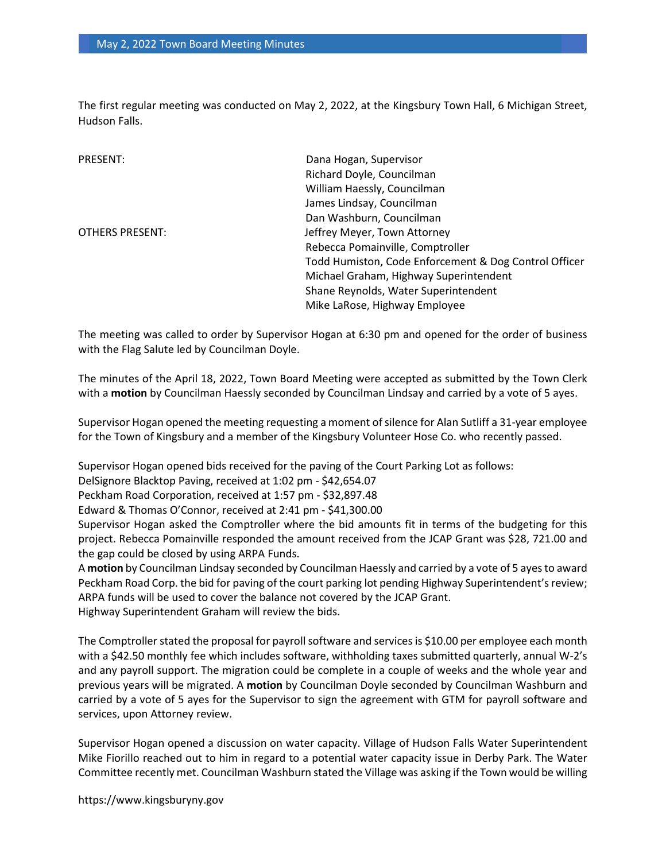The first regular meeting was conducted on May 2, 2022, at the Kingsbury Town Hall, 6 Michigan Street, Hudson Falls.

| PRESENT:               | Dana Hogan, Supervisor                                |
|------------------------|-------------------------------------------------------|
|                        | Richard Doyle, Councilman                             |
|                        | William Haessly, Councilman                           |
|                        | James Lindsay, Councilman                             |
|                        | Dan Washburn, Councilman                              |
| <b>OTHERS PRESENT:</b> | Jeffrey Meyer, Town Attorney                          |
|                        | Rebecca Pomainville, Comptroller                      |
|                        | Todd Humiston, Code Enforcement & Dog Control Officer |
|                        | Michael Graham, Highway Superintendent                |
|                        | Shane Reynolds, Water Superintendent                  |
|                        | Mike LaRose, Highway Employee                         |

The meeting was called to order by Supervisor Hogan at 6:30 pm and opened for the order of business with the Flag Salute led by Councilman Doyle.

The minutes of the April 18, 2022, Town Board Meeting were accepted as submitted by the Town Clerk with a motion by Councilman Haessly seconded by Councilman Lindsay and carried by a vote of 5 ayes.

Supervisor Hogan opened the meeting requesting a moment of silence for Alan Sutliff a 31-year employee for the Town of Kingsbury and a member of the Kingsbury Volunteer Hose Co. who recently passed.

Supervisor Hogan opened bids received for the paving of the Court Parking Lot as follows:

DelSignore Blacktop Paving, received at 1:02 pm - \$42,654.07

Peckham Road Corporation, received at 1:57 pm - \$32,897.48

Edward & Thomas O'Connor, received at 2:41 pm - \$41,300.00

Supervisor Hogan asked the Comptroller where the bid amounts fit in terms of the budgeting for this project. Rebecca Pomainville responded the amount received from the JCAP Grant was \$28, 721.00 and the gap could be closed by using ARPA Funds.

A motion by Councilman Lindsay seconded by Councilman Haessly and carried by a vote of 5 ayes to award Peckham Road Corp. the bid for paving of the court parking lot pending Highway Superintendent's review; ARPA funds will be used to cover the balance not covered by the JCAP Grant. Highway Superintendent Graham will review the bids.

The Comptroller stated the proposal for payroll software and services is \$10.00 per employee each month with a \$42.50 monthly fee which includes software, withholding taxes submitted quarterly, annual W-2's and any payroll support. The migration could be complete in a couple of weeks and the whole year and previous years will be migrated. A motion by Councilman Doyle seconded by Councilman Washburn and carried by a vote of 5 ayes for the Supervisor to sign the agreement with GTM for payroll software and services, upon Attorney review.

Supervisor Hogan opened a discussion on water capacity. Village of Hudson Falls Water Superintendent Mike Fiorillo reached out to him in regard to a potential water capacity issue in Derby Park. The Water Committee recently met. Councilman Washburn stated the Village was asking if the Town would be willing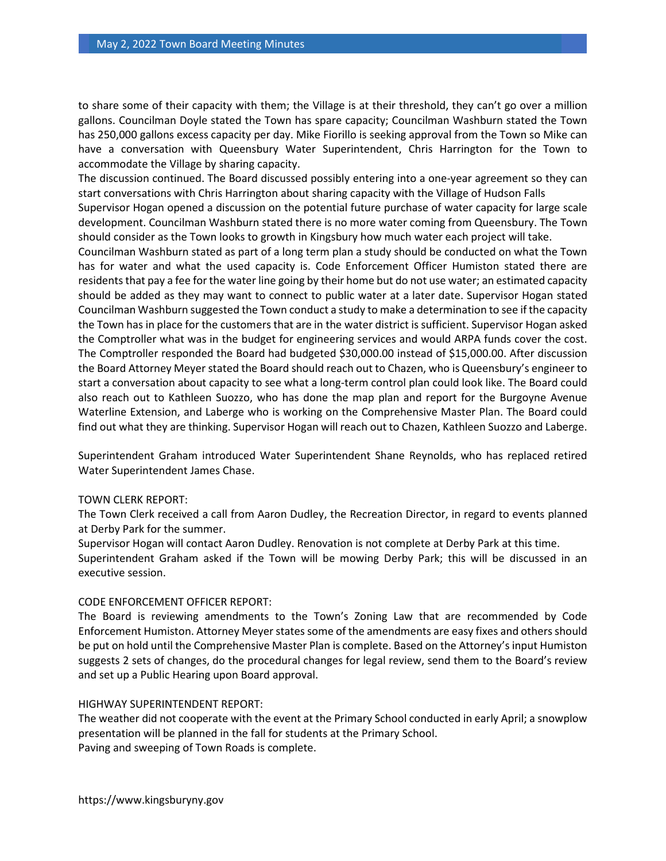to share some of their capacity with them; the Village is at their threshold, they can't go over a million gallons. Councilman Doyle stated the Town has spare capacity; Councilman Washburn stated the Town has 250,000 gallons excess capacity per day. Mike Fiorillo is seeking approval from the Town so Mike can have a conversation with Queensbury Water Superintendent, Chris Harrington for the Town to accommodate the Village by sharing capacity.

The discussion continued. The Board discussed possibly entering into a one-year agreement so they can start conversations with Chris Harrington about sharing capacity with the Village of Hudson Falls

Supervisor Hogan opened a discussion on the potential future purchase of water capacity for large scale development. Councilman Washburn stated there is no more water coming from Queensbury. The Town should consider as the Town looks to growth in Kingsbury how much water each project will take.

Councilman Washburn stated as part of a long term plan a study should be conducted on what the Town has for water and what the used capacity is. Code Enforcement Officer Humiston stated there are residents that pay a fee for the water line going by their home but do not use water; an estimated capacity should be added as they may want to connect to public water at a later date. Supervisor Hogan stated Councilman Washburn suggested the Town conduct a study to make a determination to see if the capacity the Town has in place for the customers that are in the water district is sufficient. Supervisor Hogan asked the Comptroller what was in the budget for engineering services and would ARPA funds cover the cost. The Comptroller responded the Board had budgeted \$30,000.00 instead of \$15,000.00. After discussion the Board Attorney Meyer stated the Board should reach out to Chazen, who is Queensbury's engineer to start a conversation about capacity to see what a long-term control plan could look like. The Board could also reach out to Kathleen Suozzo, who has done the map plan and report for the Burgoyne Avenue Waterline Extension, and Laberge who is working on the Comprehensive Master Plan. The Board could find out what they are thinking. Supervisor Hogan will reach out to Chazen, Kathleen Suozzo and Laberge.

Superintendent Graham introduced Water Superintendent Shane Reynolds, who has replaced retired Water Superintendent James Chase.

## TOWN CLERK REPORT:

The Town Clerk received a call from Aaron Dudley, the Recreation Director, in regard to events planned at Derby Park for the summer.

Supervisor Hogan will contact Aaron Dudley. Renovation is not complete at Derby Park at this time. Superintendent Graham asked if the Town will be mowing Derby Park; this will be discussed in an executive session.

## CODE ENFORCEMENT OFFICER REPORT:

The Board is reviewing amendments to the Town's Zoning Law that are recommended by Code Enforcement Humiston. Attorney Meyer states some of the amendments are easy fixes and others should be put on hold until the Comprehensive Master Plan is complete. Based on the Attorney's input Humiston suggests 2 sets of changes, do the procedural changes for legal review, send them to the Board's review and set up a Public Hearing upon Board approval.

## HIGHWAY SUPERINTENDENT REPORT:

The weather did not cooperate with the event at the Primary School conducted in early April; a snowplow presentation will be planned in the fall for students at the Primary School. Paving and sweeping of Town Roads is complete.